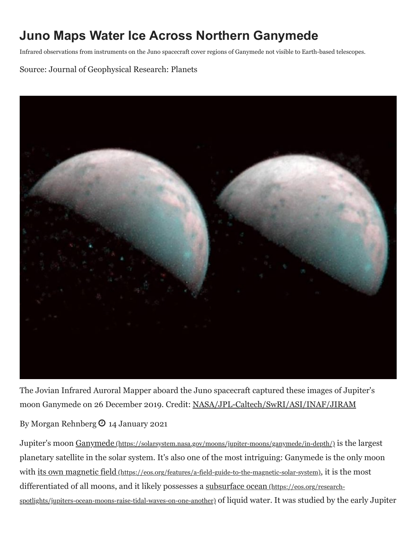## **Juno Maps Water Ice Across Northern Ganymede**

Infrared observations from instruments on the Juno spacecraft cover regions of Ganymede not visible to Earth-based telescopes.

Source: Journal of Geophysical Research: Planets



The Jovian Infrared Auroral Mapper aboard the Juno spacecraft captured these images of Jupiter's moon Ganymede on 26 December 2019. Credit: [NASA/JPL-Caltech/SwRI/ASI/INAF/JIRAM](https://photojournal.jpl.nasa.gov/catalog/PIA23988)

By Morgan Rehnberg  $\Theta$  14 January 2021

Jupiter's moon Ganymede (https://solarsystem.nasa.gov/moons/jupiter-moons/ganymede/in-depth/) is the largest planetary satellite in the solar system. It's also one of the most intriguing: Ganymede is the only moon with [its own magnetic field](https://eos.org/features/a-field-guide-to-the-magnetic-solar-system) (https://eos.org/features/a-field-guide-to-the-magnetic-solar-system), it is the most [differentiated of all moons, and it likely possesses a subsurface ocean](https://eos.org/research-spotlights/jupiters-ocean-moons-raise-tidal-waves-on-one-another) (https://eos.org/researchspotlights/jupiters-ocean-moons-raise-tidal-waves-on-one-another) of liquid water. It was studied by the early Jupiter